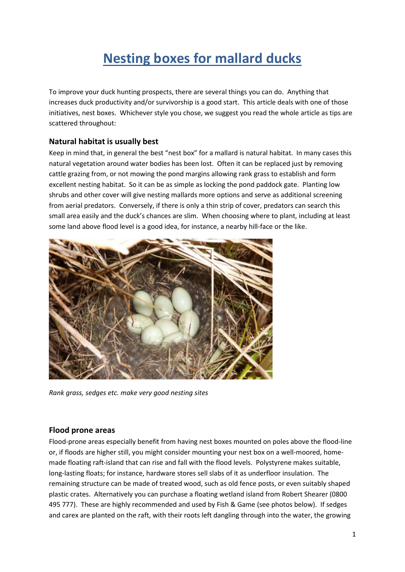# **Nesting boxes for mallard ducks**

To improve your duck hunting prospects, there are several things you can do. Anything that increases duck productivity and/or survivorship is a good start. This article deals with one of those initiatives, nest boxes. Whichever style you chose, we suggest you read the whole article as tips are scattered throughout:

# **Natural habitat is usually best**

Keep in mind that, in general the best "nest box" for a mallard is natural habitat. In many cases this natural vegetation around water bodies has been lost. Often it can be replaced just by removing cattle grazing from, or not mowing the pond margins allowing rank grass to establish and form excellent nesting habitat. So it can be as simple as locking the pond paddock gate. Planting low shrubs and other cover will give nesting mallards more options and serve as additional screening from aerial predators. Conversely, if there is only a thin strip of cover, predators can search this small area easily and the duck's chances are slim. When choosing where to plant, including at least some land above flood level is a good idea, for instance, a nearby hill-face or the like.



*Rank grass, sedges etc. make very good nesting sites*

## **Flood prone areas**

Flood-prone areas especially benefit from having nest boxes mounted on poles above the flood-line or, if floods are higher still, you might consider mounting your nest box on a well-moored, homemade floating raft-island that can rise and fall with the flood levels. Polystyrene makes suitable, long-lasting floats; for instance, hardware stores sell slabs of it as underfloor insulation. The remaining structure can be made of treated wood, such as old fence posts, or even suitably shaped plastic crates. Alternatively you can purchase a floating wetland island from Robert Shearer (0800 495 777). These are highly recommended and used by Fish & Game (see photos below). If sedges and carex are planted on the raft, with their roots left dangling through into the water, the growing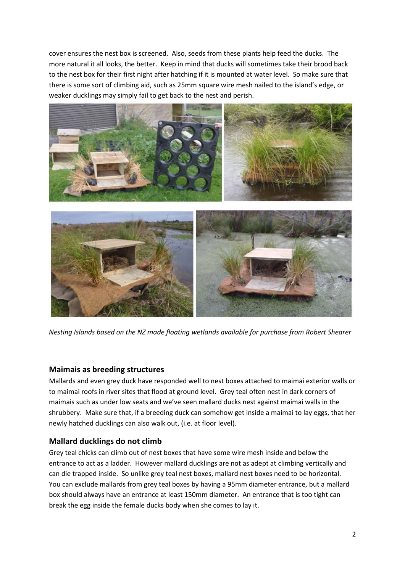cover ensures the nest box is screened. Also, seeds from these plants help feed the ducks. The more natural it all looks, the better. Keep in mind that ducks will sometimes take their brood back to the nest box for their first night after hatching if it is mounted at water level. So make sure that there is some sort of climbing aid, such as 25mm square wire mesh nailed to the island's edge, or weaker ducklings may simply fail to get back to the nest and perish.



*Nesting Islands based on the NZ made floating wetlands available for purchase from Robert Shearer*

# **Maimais as breeding structures**

Mallards and even grey duck have responded well to nest boxes attached to maimai exterior walls or to maimai roofs in river sites that flood at ground level. Grey teal often nest in dark corners of maimais such as under low seats and we've seen mallard ducks nest against maimai walls in the shrubbery. Make sure that, if a breeding duck can somehow get inside a maimai to lay eggs, that her newly hatched ducklings can also walk out, (i.e. at floor level).

# **Mallard ducklings do not climb**

Grey teal chicks can climb out of nest boxes that have some wire mesh inside and below the entrance to act as a ladder. However mallard ducklings are not as adept at climbing vertically and can die trapped inside. So unlike grey teal nest boxes, mallard nest boxes need to be horizontal. You can exclude mallards from grey teal boxes by having a 95mm diameter entrance, but a mallard box should always have an entrance at least 150mm diameter. An entrance that is too tight can break the egg inside the female ducks body when she comes to lay it.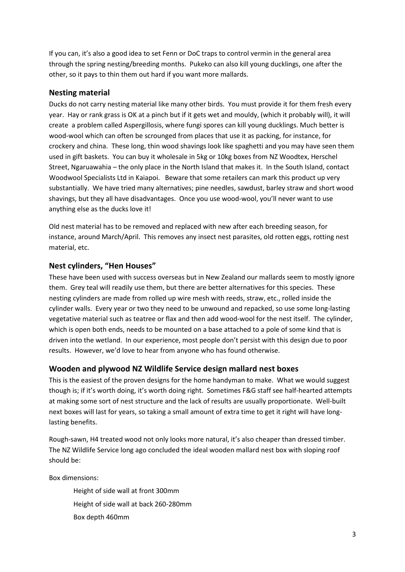If you can, it's also a good idea to set Fenn or DoC traps to control vermin in the general area through the spring nesting/breeding months. Pukeko can also kill young ducklings, one after the other, so it pays to thin them out hard if you want more mallards.

## **Nesting material**

Ducks do not carry nesting material like many other birds. You must provide it for them fresh every year. Hay or rank grass is OK at a pinch but if it gets wet and mouldy, (which it probably will), it will create a problem called Aspergillosis, where fungi spores can kill young ducklings. Much better is wood-wool which can often be scrounged from places that use it as packing, for instance, for crockery and china. These long, thin wood shavings look like spaghetti and you may have seen them used in gift baskets. You can buy it wholesale in 5kg or 10kg boxes from NZ Woodtex, Herschel Street, Ngaruawahia – the only place in the North Island that makes it. In the South Island, contact Woodwool Specialists Ltd in Kaiapoi. Beware that some retailers can mark this product up very substantially. We have tried many alternatives; pine needles, sawdust, barley straw and short wood shavings, but they all have disadvantages. Once you use wood-wool, you'll never want to use anything else as the ducks love it!

Old nest material has to be removed and replaced with new after each breeding season, for instance, around March/April. This removes any insect nest parasites, old rotten eggs, rotting nest material, etc.

# **Nest cylinders, "Hen Houses"**

These have been used with success overseas but in New Zealand our mallards seem to mostly ignore them. Grey teal will readily use them, but there are better alternatives for this species. These nesting cylinders are made from rolled up wire mesh with reeds, straw, etc., rolled inside the cylinder walls. Every year or two they need to be unwound and repacked, so use some long-lasting vegetative material such as teatree or flax and then add wood-wool for the nest itself. The cylinder, which is open both ends, needs to be mounted on a base attached to a pole of some kind that is driven into the wetland. In our experience, most people don't persist with this design due to poor results. However, we'd love to hear from anyone who has found otherwise.

# **Wooden and plywood NZ Wildlife Service design mallard nest boxes**

This is the easiest of the proven designs for the home handyman to make. What we would suggest though is; if it's worth doing, it's worth doing right. Sometimes F&G staff see half-hearted attempts at making some sort of nest structure and the lack of results are usually proportionate. Well-built next boxes will last for years, so taking a small amount of extra time to get it right will have longlasting benefits.

Rough-sawn, H4 treated wood not only looks more natural, it's also cheaper than dressed timber. The NZ Wildlife Service long ago concluded the ideal wooden mallard nest box with sloping roof should be:

Box dimensions:

Height of side wall at front 300mm Height of side wall at back 260-280mm Box depth 460mm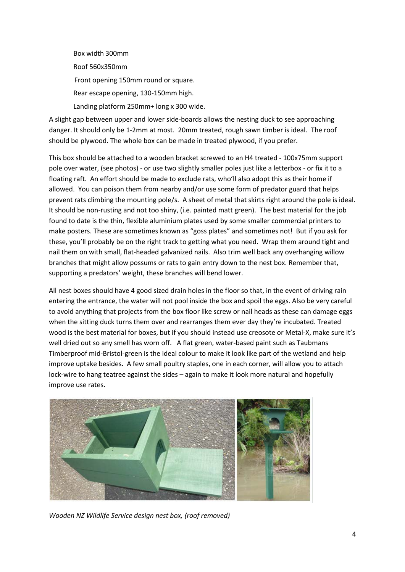Box width 300mm Roof 560x350mm Front opening 150mm round or square. Rear escape opening, 130-150mm high. Landing platform 250mm+ long x 300 wide.

A slight gap between upper and lower side-boards allows the nesting duck to see approaching danger. It should only be 1-2mm at most. 20mm treated, rough sawn timber is ideal. The roof should be plywood. The whole box can be made in treated plywood, if you prefer.

This box should be attached to a wooden bracket screwed to an H4 treated - 100x75mm support pole over water, (see photos) - or use two slightly smaller poles just like a letterbox - or fix it to a floating raft. An effort should be made to exclude rats, who'll also adopt this as their home if allowed. You can poison them from nearby and/or use some form of predator guard that helps prevent rats climbing the mounting pole/s. A sheet of metal that skirts right around the pole is ideal. It should be non-rusting and not too shiny, (i.e. painted matt green). The best material for the job found to date is the thin, flexible aluminium plates used by some smaller commercial printers to make posters. These are sometimes known as "goss plates" and sometimes not! But if you ask for these, you'll probably be on the right track to getting what you need. Wrap them around tight and nail them on with small, flat-headed galvanized nails. Also trim well back any overhanging willow branches that might allow possums or rats to gain entry down to the nest box. Remember that, supporting a predators' weight, these branches will bend lower.

All nest boxes should have 4 good sized drain holes in the floor so that, in the event of driving rain entering the entrance, the water will not pool inside the box and spoil the eggs. Also be very careful to avoid anything that projects from the box floor like screw or nail heads as these can damage eggs when the sitting duck turns them over and rearranges them ever day they're incubated. Treated wood is the best material for boxes, but if you should instead use creosote or Metal-X, make sure it's well dried out so any smell has worn off. A flat green, water-based paint such as Taubmans Timberproof mid-Bristol-green is the ideal colour to make it look like part of the wetland and help improve uptake besides. A few small poultry staples, one in each corner, will allow you to attach lock-wire to hang teatree against the sides – again to make it look more natural and hopefully improve use rates.



*Wooden NZ Wildlife Service design nest box, (roof removed)*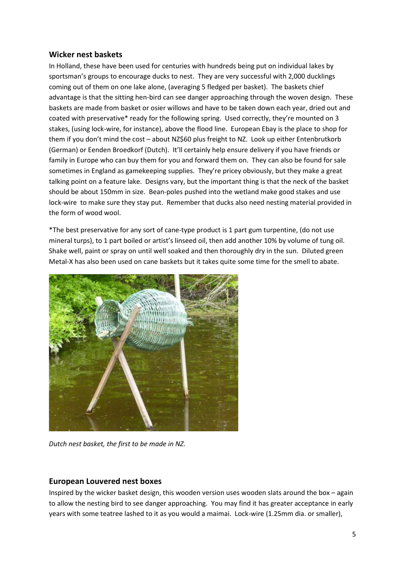## **Wicker nest baskets**

In Holland, these have been used for centuries with hundreds being put on individual lakes by sportsman's groups to encourage ducks to nest. They are very successful with 2,000 ducklings coming out of them on one lake alone, (averaging 5 fledged per basket). The baskets chief advantage is that the sitting hen-bird can see danger approaching through the woven design. These baskets are made from basket or osier willows and have to be taken down each year, dried out and coated with preservative\* ready for the following spring. Used correctly, they're mounted on 3 stakes, (using lock-wire, for instance), above the flood line. European Ebay is the place to shop for them if you don't mind the cost – about NZ\$60 plus freight to NZ. Look up either Entenbrutkorb (German) or Eenden Broedkorf (Dutch). It'll certainly help ensure delivery if you have friends or family in Europe who can buy them for you and forward them on. They can also be found for sale sometimes in England as gamekeeping supplies. They're pricey obviously, but they make a great talking point on a feature lake. Designs vary, but the important thing is that the neck of the basket should be about 150mm in size. Bean-poles pushed into the wetland make good stakes and use lock-wire to make sure they stay put. Remember that ducks also need nesting material provided in the form of wood wool.

\*The best preservative for any sort of cane-type product is 1 part gum turpentine, (do not use mineral turps), to 1 part boiled or artist's linseed oil, then add another 10% by volume of tung oil. Shake well, paint or spray on until well soaked and then thoroughly dry in the sun. Diluted green Metal-X has also been used on cane baskets but it takes quite some time for the smell to abate.



*Dutch nest basket, the first to be made in NZ.*

## **European Louvered nest boxes**

Inspired by the wicker basket design, this wooden version uses wooden slats around the box – again to allow the nesting bird to see danger approaching. You may find it has greater acceptance in early years with some teatree lashed to it as you would a maimai. Lock-wire (1.25mm dia. or smaller),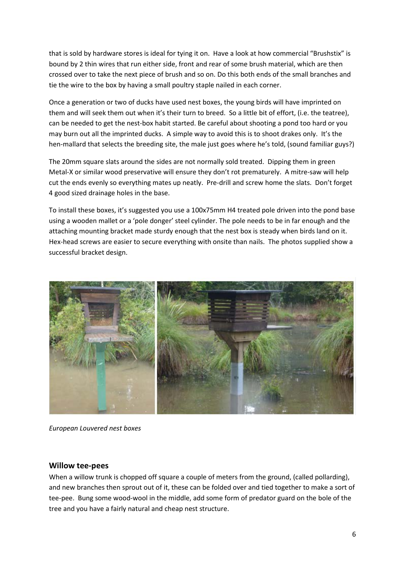that is sold by hardware stores is ideal for tying it on. Have a look at how commercial "Brushstix" is bound by 2 thin wires that run either side, front and rear of some brush material, which are then crossed over to take the next piece of brush and so on. Do this both ends of the small branches and tie the wire to the box by having a small poultry staple nailed in each corner.

Once a generation or two of ducks have used nest boxes, the young birds will have imprinted on them and will seek them out when it's their turn to breed. So a little bit of effort, (i.e. the teatree), can be needed to get the nest-box habit started. Be careful about shooting a pond too hard or you may burn out all the imprinted ducks. A simple way to avoid this is to shoot drakes only. It's the hen-mallard that selects the breeding site, the male just goes where he's told, (sound familiar guys?)

The 20mm square slats around the sides are not normally sold treated. Dipping them in green Metal-X or similar wood preservative will ensure they don't rot prematurely. A mitre-saw will help cut the ends evenly so everything mates up neatly. Pre-drill and screw home the slats. Don't forget 4 good sized drainage holes in the base.

To install these boxes, it's suggested you use a 100x75mm H4 treated pole driven into the pond base using a wooden mallet or a 'pole donger' steel cylinder. The pole needs to be in far enough and the attaching mounting bracket made sturdy enough that the nest box is steady when birds land on it. Hex-head screws are easier to secure everything with onsite than nails. The photos supplied show a successful bracket design.



*European Louvered nest boxes* 

#### **Willow tee-pees**

When a willow trunk is chopped off square a couple of meters from the ground, (called pollarding), and new branches then sprout out of it, these can be folded over and tied together to make a sort of tee-pee. Bung some wood-wool in the middle, add some form of predator guard on the bole of the tree and you have a fairly natural and cheap nest structure.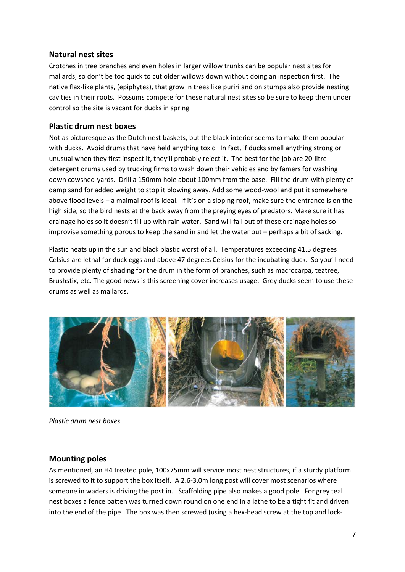## **Natural nest sites**

Crotches in tree branches and even holes in larger willow trunks can be popular nest sites for mallards, so don't be too quick to cut older willows down without doing an inspection first. The native flax-like plants, (epiphytes), that grow in trees like puriri and on stumps also provide nesting cavities in their roots. Possums compete for these natural nest sites so be sure to keep them under control so the site is vacant for ducks in spring.

# **Plastic drum nest boxes**

Not as picturesque as the Dutch nest baskets, but the black interior seems to make them popular with ducks. Avoid drums that have held anything toxic. In fact, if ducks smell anything strong or unusual when they first inspect it, they'll probably reject it. The best for the job are 20-litre detergent drums used by trucking firms to wash down their vehicles and by famers for washing down cowshed-yards. Drill a 150mm hole about 100mm from the base. Fill the drum with plenty of damp sand for added weight to stop it blowing away. Add some wood-wool and put it somewhere above flood levels – a maimai roof is ideal. If it's on a sloping roof, make sure the entrance is on the high side, so the bird nests at the back away from the preying eyes of predators. Make sure it has drainage holes so it doesn't fill up with rain water. Sand will fall out of these drainage holes so improvise something porous to keep the sand in and let the water out – perhaps a bit of sacking.

Plastic heats up in the sun and black plastic worst of all. Temperatures exceeding 41.5 degrees Celsius are lethal for duck eggs and above 47 degrees Celsius for the incubating duck. So you'll need to provide plenty of shading for the drum in the form of branches, such as macrocarpa, teatree, Brushstix, etc. The good news is this screening cover increases usage. Grey ducks seem to use these drums as well as mallards.



*Plastic drum nest boxes*

# **Mounting poles**

As mentioned, an H4 treated pole, 100x75mm will service most nest structures, if a sturdy platform is screwed to it to support the box itself. A 2.6-3.0m long post will cover most scenarios where someone in waders is driving the post in. Scaffolding pipe also makes a good pole. For grey teal nest boxes a fence batten was turned down round on one end in a lathe to be a tight fit and driven into the end of the pipe. The box was then screwed (using a hex-head screw at the top and lock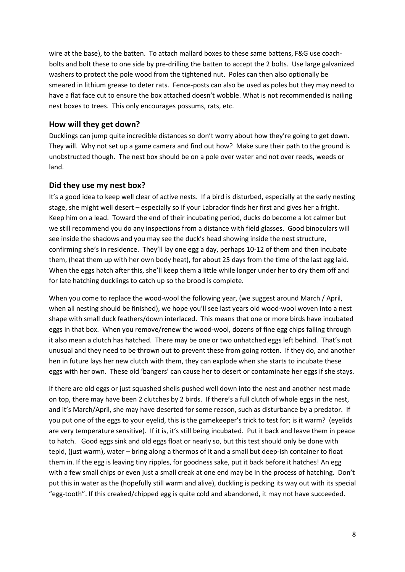wire at the base), to the batten. To attach mallard boxes to these same battens, F&G use coachbolts and bolt these to one side by pre-drilling the batten to accept the 2 bolts. Use large galvanized washers to protect the pole wood from the tightened nut. Poles can then also optionally be smeared in lithium grease to deter rats. Fence-posts can also be used as poles but they may need to have a flat face cut to ensure the box attached doesn't wobble. What is not recommended is nailing nest boxes to trees. This only encourages possums, rats, etc.

## **How will they get down?**

Ducklings can jump quite incredible distances so don't worry about how they're going to get down. They will. Why not set up a game camera and find out how? Make sure their path to the ground is unobstructed though. The nest box should be on a pole over water and not over reeds, weeds or land.

## **Did they use my nest box?**

It's a good idea to keep well clear of active nests. If a bird is disturbed, especially at the early nesting stage, she might well desert – especially so if your Labrador finds her first and gives her a fright. Keep him on a lead. Toward the end of their incubating period, ducks do become a lot calmer but we still recommend you do any inspections from a distance with field glasses. Good binoculars will see inside the shadows and you may see the duck's head showing inside the nest structure, confirming she's in residence. They'll lay one egg a day, perhaps 10-12 of them and then incubate them, (heat them up with her own body heat), for about 25 days from the time of the last egg laid. When the eggs hatch after this, she'll keep them a little while longer under her to dry them off and for late hatching ducklings to catch up so the brood is complete.

When you come to replace the wood-wool the following year, (we suggest around March / April, when all nesting should be finished), we hope you'll see last years old wood-wool woven into a nest shape with small duck feathers/down interlaced. This means that one or more birds have incubated eggs in that box. When you remove/renew the wood-wool, dozens of fine egg chips falling through it also mean a clutch has hatched. There may be one or two unhatched eggs left behind. That's not unusual and they need to be thrown out to prevent these from going rotten. If they do, and another hen in future lays her new clutch with them, they can explode when she starts to incubate these eggs with her own. These old 'bangers' can cause her to desert or contaminate her eggs if she stays.

If there are old eggs or just squashed shells pushed well down into the nest and another nest made on top, there may have been 2 clutches by 2 birds. If there's a full clutch of whole eggs in the nest, and it's March/April, she may have deserted for some reason, such as disturbance by a predator. If you put one of the eggs to your eyelid, this is the gamekeeper's trick to test for; is it warm? (eyelids are very temperature sensitive). If it is, it's still being incubated. Put it back and leave them in peace to hatch. Good eggs sink and old eggs float or nearly so, but this test should only be done with tepid, (just warm), water – bring along a thermos of it and a small but deep-ish container to float them in. If the egg is leaving tiny ripples, for goodness sake, put it back before it hatches! An egg with a few small chips or even just a small creak at one end may be in the process of hatching. Don't put this in water as the (hopefully still warm and alive), duckling is pecking its way out with its special "egg-tooth". If this creaked/chipped egg is quite cold and abandoned, it may not have succeeded.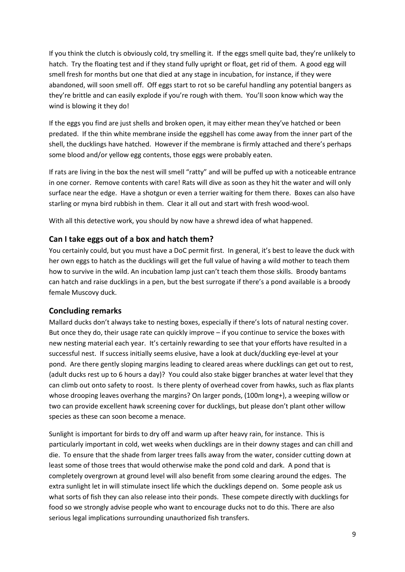If you think the clutch is obviously cold, try smelling it. If the eggs smell quite bad, they're unlikely to hatch. Try the floating test and if they stand fully upright or float, get rid of them. A good egg will smell fresh for months but one that died at any stage in incubation, for instance, if they were abandoned, will soon smell off. Off eggs start to rot so be careful handling any potential bangers as they're brittle and can easily explode if you're rough with them. You'll soon know which way the wind is blowing it they do!

If the eggs you find are just shells and broken open, it may either mean they've hatched or been predated. If the thin white membrane inside the eggshell has come away from the inner part of the shell, the ducklings have hatched. However if the membrane is firmly attached and there's perhaps some blood and/or yellow egg contents, those eggs were probably eaten.

If rats are living in the box the nest will smell "ratty" and will be puffed up with a noticeable entrance in one corner. Remove contents with care! Rats will dive as soon as they hit the water and will only surface near the edge. Have a shotgun or even a terrier waiting for them there. Boxes can also have starling or myna bird rubbish in them. Clear it all out and start with fresh wood-wool.

With all this detective work, you should by now have a shrewd idea of what happened.

# **Can I take eggs out of a box and hatch them?**

You certainly could, but you must have a DoC permit first. In general, it's best to leave the duck with her own eggs to hatch as the ducklings will get the full value of having a wild mother to teach them how to survive in the wild. An incubation lamp just can't teach them those skills. Broody bantams can hatch and raise ducklings in a pen, but the best surrogate if there's a pond available is a broody female Muscovy duck.

# **Concluding remarks**

Mallard ducks don't always take to nesting boxes, especially if there's lots of natural nesting cover. But once they do, their usage rate can quickly improve – if you continue to service the boxes with new nesting material each year. It's certainly rewarding to see that your efforts have resulted in a successful nest. If success initially seems elusive, have a look at duck/duckling eye-level at your pond. Are there gently sloping margins leading to cleared areas where ducklings can get out to rest, (adult ducks rest up to 6 hours a day)? You could also stake bigger branches at water level that they can climb out onto safety to roost. Is there plenty of overhead cover from hawks, such as flax plants whose drooping leaves overhang the margins? On larger ponds, (100m long+), a weeping willow or two can provide excellent hawk screening cover for ducklings, but please don't plant other willow species as these can soon become a menace.

Sunlight is important for birds to dry off and warm up after heavy rain, for instance. This is particularly important in cold, wet weeks when ducklings are in their downy stages and can chill and die. To ensure that the shade from larger trees falls away from the water, consider cutting down at least some of those trees that would otherwise make the pond cold and dark. A pond that is completely overgrown at ground level will also benefit from some clearing around the edges. The extra sunlight let in will stimulate insect life which the ducklings depend on. Some people ask us what sorts of fish they can also release into their ponds. These compete directly with ducklings for food so we strongly advise people who want to encourage ducks not to do this. There are also serious legal implications surrounding unauthorized fish transfers.